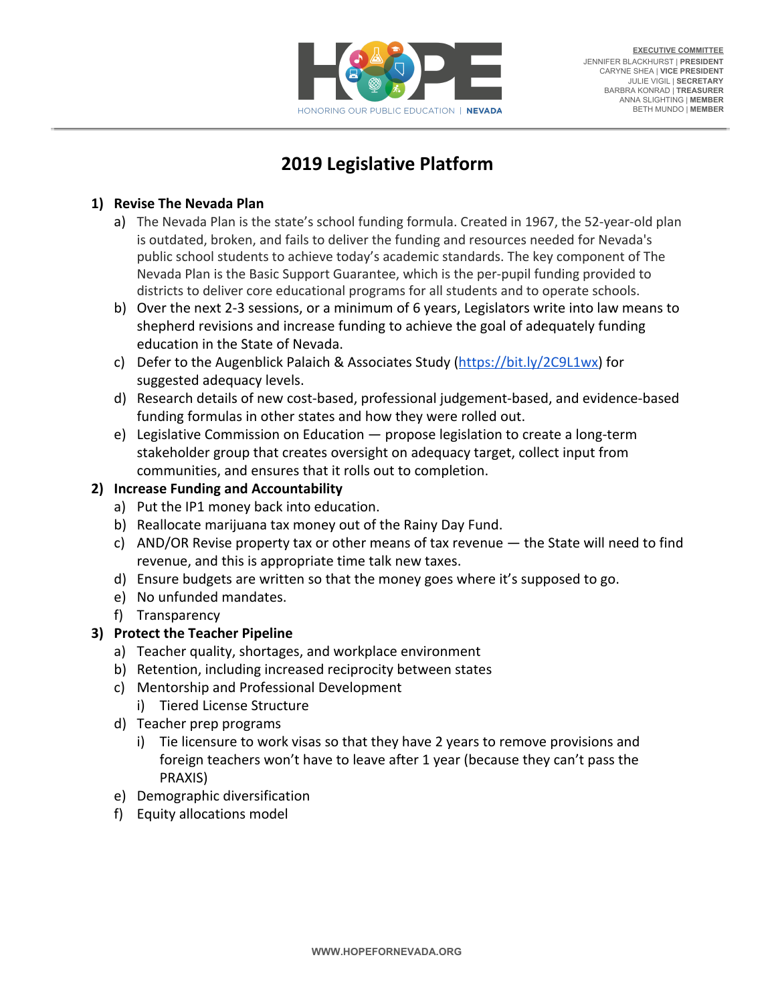

# **2019 Legislative Platform**

## **1) Revise The Nevada Plan**

- a) The Nevada Plan is the state's school funding formula. Created in 1967, the 52-year-old plan is outdated, broken, and fails to deliver the funding and resources needed for Nevada's public school students to achieve today's academic standards. The key component of The Nevada Plan is the Basic Support Guarantee, which is the per-pupil funding provided to districts to deliver core educational programs for all students and to operate schools.
- b) Over the next 2-3 sessions, or a minimum of 6 years, Legislators write into law means to shepherd revisions and increase funding to achieve the goal of adequately funding education in the State of Nevada.
- c) Defer to the Augenblick Palaich & Associates Study (<https://bit.ly/2C9L1wx>) for suggested adequacy levels.
- d) Research details of new cost-based, professional judgement-based, and evidence-based funding formulas in other states and how they were rolled out.
- e) Legislative Commission on Education propose legislation to create a long-term stakeholder group that creates oversight on adequacy target, collect input from communities, and ensures that it rolls out to completion.

# **2) Increase Funding and Accountability**

- a) Put the IP1 money back into education.
- b) Reallocate marijuana tax money out of the Rainy Day Fund.
- c) AND/OR Revise property tax or other means of tax revenue the State will need to find revenue, and this is appropriate time talk new taxes.
- d) Ensure budgets are written so that the money goes where it's supposed to go.
- e) No unfunded mandates.
- f) Transparency

# **3) Protect the Teacher Pipeline**

- a) Teacher quality, shortages, and workplace environment
- b) Retention, including increased reciprocity between states
- c) Mentorship and Professional Development
- i) Tiered License Structure
- d) Teacher prep programs
	- i) Tie licensure to work visas so that they have 2 years to remove provisions and foreign teachers won't have to leave after 1 year (because they can't pass the PRAXIS)
- e) Demographic diversification
- f) Equity allocations model